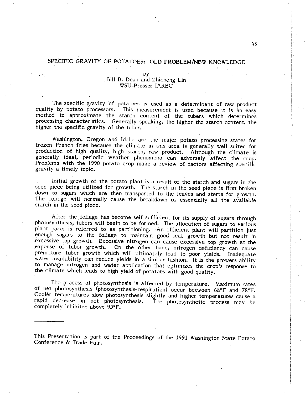## SPECIFIC GRAVITY OF POTATOES: OLD PROBLEM/NEW KNOWLEDGE

## by Bill B. Dean and Zhicheng Lin WSU-Prosser IAREC

The specific gravity 'of potatoes is used as a determinant of raw product quality by potato processors. This measurement is used because it is an easy method to approximate the starch content of the tubers which determines processing characteristics. Generally speaking, the higher the starch content, the higher the specific gravity of the tuber.

Washington, Oregon and Idaho are the major potato processing states for frozen French fries because the climate in this area is generally well suited for production of high quality, high starch, raw product. Although the climate is generally ideal, periodic weather phenomena can adversely affect the crop. Problems with the 1990 potato crop make a review of factors affecting specific gravity a timely topic.

Initial growth of the potato plant is a result of the starch and sugars in the seed piece being utilized for growth. The starch in the seed piece is first broken down to sugars which are then transported to the leaves and The foliage will normally cause the breakdown of essentially all the available starch in the seed piece.

After the foliage has become self sufficient for its supply of sugars through photosynthesis, tubers will begin to be formed. The allocation of sugars to various plant parts is referred to as partitioning. An efficient plant will partition just enough sugars to the foliage to maintain good leaf growth but not result in excessive top growth. Excessive nitrogen can cause excessive top growth at the expense of tuber growth. On the other hand, nitrogen deficiency can cause<br>premature tuber growth which will ultimately lead to poor yields. Inadequate<br>water availability can reduce yields in a similar fashion. It is the gr to manage nitrogen and water application that optimizes the crop's response to the climate which leads to high yield of potatoes with good quality.

The process of photosynthesis is affected by temperature. Maximum rates of net photosynthesis (photosynthesis-respiration) occur between 68°F and 78°F. Cooler temperatures slow photosynthesis slightly and higher temperatures cause a rapid decrease in net photosynthesis. The photosynthetic process may be completely inhibited above 95°F.

This Presentation is part of the Proceedings of the 1991 Washington State Potato Conference & Trade Fair.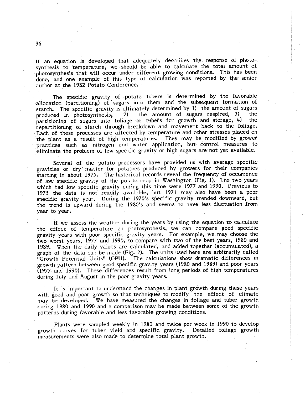If an equation is developed that adequately describes the response of photosynthesis to temperature, we should be able to calculate the total amount of photosynthesis that will occur under different growing conditions. This has been done, and one example of this type of calculation was reported by the senior author at the 1982 Potato Conference.

The specific gravity of potato tubers is determined by the favorable allocation (partitioning) of sugars into them and the subsequent formation of starch. The specific gravity is ultimately determined by 1) the amount of sugars<br>produced in photosynthesis, 2) the amount of sugars respired, 3) the partitioning of sugars into foliage or tubers for growth and storage, 4) the repartitioning of starch through breakdown and movement back to the foliage. Each of these processes are affected by temperature and other stresses placed on the plant as a result of high temperatures. They may be modified by grower practices such as nitrogen and water application, but control measures to eliminate the problem of low specific gravity or high sugars are not yet available.

Several of the potato processors have provided us with average specific gravities or dry matter for potatoes produced by growers for their companies starting in about 1975. The historical records reveal the frequency of occurrence of low specific gravity of the potato crop in Washington (Fig. I). The two years which had low specific gravity during this time were 1977 and 1990. Previous to 1975 the data is not readily available, but 1971 may also have been a poor specific gravity year. During the 1970's specific gravity trended downward, but the trend is upward during the 1980's and seems to have less fluctuation from year to year.

If we assess the weather during the years by using the equation to calculate the effect of temperature on photosynthesis, we can compare good specific gravity years with poor specific gravity years. For example, we may choose the two worst years, 1977 and 1990, to compare with two of the best years, 1980 and 1989. When the daily values are calculated, and added together (accumulated), a graph of the data can be made (Fig. 2). The units used here are arbitrarily called "Growth Potential Units" (GPU). The calculations show dramatic differences in The calculations show dramatic differences in growth pattern between good specific gravity years (1980 and 1989) and poor years (1977 and 1990). These differences result from long periods of high temperatures during July and August in the poor gravity years.

It is important to understand the changes in plant growth during these years with good and poor growth so that techniques to modify the effect of climate may be developed. We have measured the changes in foliage and tuber growth during 1980 and 1990 and a comparison may be made between some of the growth patterns during favorable and less favorable growing conditions.

Plants were sampled weekly in 1980 and twice per week in 1990 to develop growth curves for tuber yield and specific gravity. Detailed foliage growthmeasurements were also made to determine total plant growth.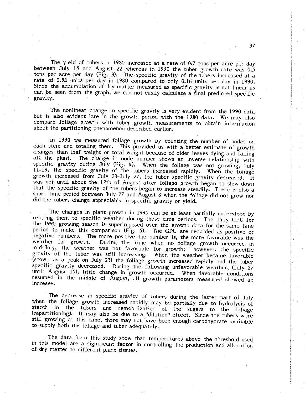The yield of tubers in 1980 increased at a rate of 0.7 tons per acre per day between July 15 and August 22 whereas in 1990 the tuber growth rate was 0.5 tons per acre per day (Fig. 3). The specific gravity of the tubers increased at a rate of 0.58 units per day in 1980 compared to only 0.16 units per day in 1990. Since the accumulation of dry matter measured as specific gravity is not linear as can be seen from the graph, we can not easily calculate a final predicted specific gravity.

The nonlinear change in specific gravity is very evident from the 1990 data<br>but is also evident late in the growth period with the 1980 data. We may also<br>compare foliage growth with tuber growth measurements to obtain info about the partitioning phenomenon described earlier.

In 1990 we measured foliage growth by counting the number of nodes on each stem and totaling them. This provided us with a better estimate of growth changes than leaf weight or total weight because of older leaves dying and falling off the plant. The change in node number shows an inverse relationship with specific gravity during July (Fig. 4). When the foliage was not growing, July 11-19, the specific gravity of the tubers increased rapidly. When the foliage 11- , the specific gravity of the tubers increased rapidly. When the foliage growth increased from July 23-July 27, the tuber specific gravity decreased. It was not until about the 12th of August after foliage growth began to slow down that the specific gravity of the tubers began to increase steadily. There is also a short time period between July 27 and August 8 when the foliage did not grow nor did the tubers change appreciably in specific gravity or yield.

The changes in plant growth in 1990 can be at least partially understood by relating them to specific weather during these time periods. The daily GPU for the 1990 growing season is superimposed over the growth data for the same time period to make this comparison (Fig. 5). The GPU are recorded as positive or negative numbers. The more positive the number is, the more favorable was the weather for growth. During the time when no foliage growth occurred in weather for growth. During the time when no foliage growth occurred in mid-July, the weather was not favorable for growth: however, the specific mid-July, the weather was not favorable for growth; however, the specific<br>gravity of the tuber was still increasing. When the weather became favorable<br>(shown as a peak on July 23) the follage growth increased rapidly and t resumed in the middle of August, all growth parameters measured showed an increase.

The decrease in specific gravity of tubers during the latter part of July when the foliage growth increased rapidly may be partially due to hydrolysis of starch in the tubers and remobilzation of the sugars to the foliage (repartitioning). It may also be due to a "dilution" effect. Since the tubers were still growing at this time, there may not have been enough carbohydrate available to supply both the foliage and tuber adequately.

The data from this study show that temperatures above the threshold used in this model are a significant factor in controlling the production and allocation of dry matter to different plant tissues.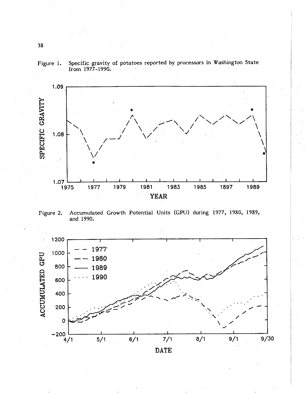

Figure I. Specific gravity of potatoes reported by processors in Washington State from 1977- 1990.

. For all the set of the set of the set of the set of the set of  $\mathcal{A}$ 

. And the set of the set of the set of the set of the set of the set of the set of the set of the set of the set of the set of the set of the set of the set of the set of the set of the set of the set of the set of the se

Figure 2. Accumulated Growth Potential Units (GPU) during 1977, 1980, 1989 and 1990.

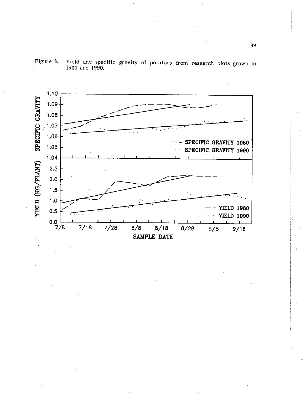

Figure 3. Yield and specific gravity of potatoes from research plots grown in 1980 and 1990.

. . . . .. ' '. ... . ' .

. . . . . --- . "